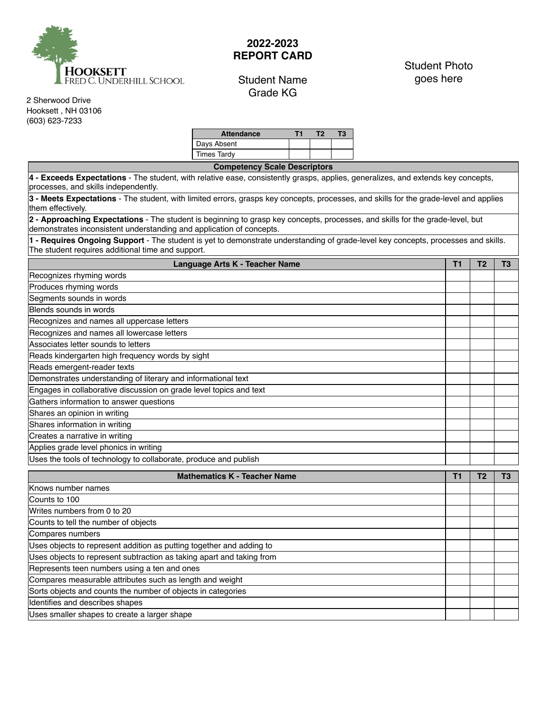

## **2022-2023 REPORT CARD**

## Student Name Grade KG

## Student Photo goes here

2 Sherwood Drive Hooksett , NH 03106 (603) 623-7233

| <b>Attendance</b> |  | гз |
|-------------------|--|----|
| Days Absent       |  |    |
| Times Tardy       |  |    |

**Competency Scale Descriptors 4 - Exceeds Expectations** - The student, with relative ease, consistently grasps, applies, generalizes, and extends key concepts, processes, and skills independently. **3 - Meets Expectations** - The student, with limited errors, grasps key concepts, processes, and skills for the grade‐level and applies them effectively.

**2 - Approaching Expectations** - The student is beginning to grasp key concepts, processes, and skills for the grade‐level, but demonstrates inconsistent understanding and application of concepts.

**1 - Requires Ongoing Support** - The student is yet to demonstrate understanding of grade‐level key concepts, processes and skills. The student requires additional time and support.

| Language Arts K - Teacher Name                                     |  |  |  |  |  |
|--------------------------------------------------------------------|--|--|--|--|--|
| Recognizes rhyming words                                           |  |  |  |  |  |
| Produces rhyming words                                             |  |  |  |  |  |
| Segments sounds in words                                           |  |  |  |  |  |
| Blends sounds in words                                             |  |  |  |  |  |
| Recognizes and names all uppercase letters                         |  |  |  |  |  |
| Recognizes and names all lowercase letters                         |  |  |  |  |  |
| Associates letter sounds to letters                                |  |  |  |  |  |
| Reads kindergarten high frequency words by sight                   |  |  |  |  |  |
| Reads emergent-reader texts                                        |  |  |  |  |  |
| Demonstrates understanding of literary and informational text      |  |  |  |  |  |
| Engages in collaborative discussion on grade level topics and text |  |  |  |  |  |
| Gathers information to answer questions                            |  |  |  |  |  |
| Shares an opinion in writing                                       |  |  |  |  |  |
| Shares information in writing                                      |  |  |  |  |  |
| Creates a narrative in writing                                     |  |  |  |  |  |
| Applies grade level phonics in writing                             |  |  |  |  |  |
| Uses the tools of technology to collaborate, produce and publish   |  |  |  |  |  |

| <b>Mathematics K - Teacher Name</b>                                   |  |  |  |  |  |
|-----------------------------------------------------------------------|--|--|--|--|--|
| Knows number names                                                    |  |  |  |  |  |
| Counts to 100                                                         |  |  |  |  |  |
| Writes numbers from 0 to 20                                           |  |  |  |  |  |
| Counts to tell the number of objects                                  |  |  |  |  |  |
| Compares numbers                                                      |  |  |  |  |  |
| Uses objects to represent addition as putting together and adding to  |  |  |  |  |  |
| Uses objects to represent subtraction as taking apart and taking from |  |  |  |  |  |
| Represents teen numbers using a ten and ones                          |  |  |  |  |  |
| Compares measurable attributes such as length and weight              |  |  |  |  |  |
| Sorts objects and counts the number of objects in categories          |  |  |  |  |  |
| Identifies and describes shapes                                       |  |  |  |  |  |
| Uses smaller shapes to create a larger shape                          |  |  |  |  |  |